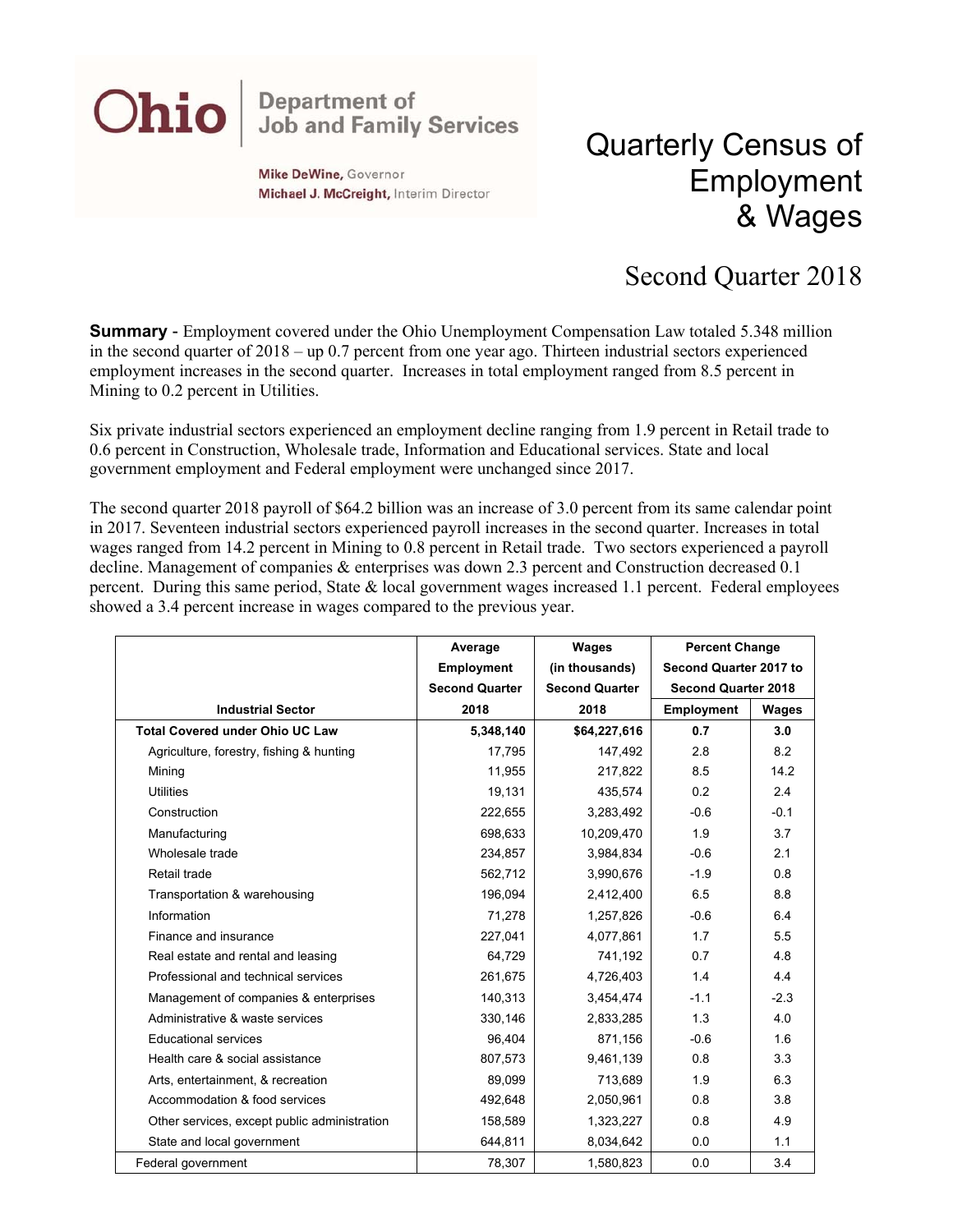## **Department of<br>Job and Family Services** Ohio

**Mike DeWine, Governor** Michael J. McCreight, Interim Director

## Quarterly Census of Employment & Wages

## Second Quarter 2018

**Summary** - Employment covered under the Ohio Unemployment Compensation Law totaled 5.348 million in the second quarter of 2018 – up 0.7 percent from one year ago. Thirteen industrial sectors experienced employment increases in the second quarter. Increases in total employment ranged from 8.5 percent in Mining to 0.2 percent in Utilities.

Six private industrial sectors experienced an employment decline ranging from 1.9 percent in Retail trade to 0.6 percent in Construction, Wholesale trade, Information and Educational services. State and local government employment and Federal employment were unchanged since 2017.

The second quarter 2018 payroll of \$64.2 billion was an increase of 3.0 percent from its same calendar point in 2017. Seventeen industrial sectors experienced payroll increases in the second quarter. Increases in total wages ranged from 14.2 percent in Mining to 0.8 percent in Retail trade. Two sectors experienced a payroll decline. Management of companies & enterprises was down 2.3 percent and Construction decreased 0.1 percent. During this same period, State & local government wages increased 1.1 percent. Federal employees showed a 3.4 percent increase in wages compared to the previous year.

|                                              | Average               | <b>Wages</b>          | <b>Percent Change</b>      |        |
|----------------------------------------------|-----------------------|-----------------------|----------------------------|--------|
|                                              | <b>Employment</b>     | (in thousands)        | Second Quarter 2017 to     |        |
|                                              | <b>Second Quarter</b> | <b>Second Quarter</b> | <b>Second Quarter 2018</b> |        |
| <b>Industrial Sector</b>                     | 2018                  | 2018                  | <b>Employment</b>          | Wages  |
| <b>Total Covered under Ohio UC Law</b>       | 5,348,140             | \$64,227,616          | 0.7                        | 3.0    |
| Agriculture, forestry, fishing & hunting     | 17,795                | 147,492               | 2.8                        | 8.2    |
| Mining                                       | 11,955                | 217,822               | 8.5                        | 14.2   |
| <b>Utilities</b>                             | 19,131                | 435,574               | 0.2                        | 2.4    |
| Construction                                 | 222,655               | 3,283,492             | $-0.6$                     | $-0.1$ |
| Manufacturing                                | 698,633               | 10,209,470            | 1.9                        | 3.7    |
| Wholesale trade                              | 234,857               | 3,984,834             | $-0.6$                     | 2.1    |
| Retail trade                                 | 562,712               | 3,990,676             | $-1.9$                     | 0.8    |
| Transportation & warehousing                 | 196,094               | 2,412,400             | 6.5                        | 8.8    |
| Information                                  | 71,278                | 1,257,826             | $-0.6$                     | 6.4    |
| Finance and insurance                        | 227,041               | 4,077,861             | 1.7                        | 5.5    |
| Real estate and rental and leasing           | 64,729                | 741,192               | 0.7                        | 4.8    |
| Professional and technical services          | 261,675               | 4,726,403             | 1.4                        | 4.4    |
| Management of companies & enterprises        | 140,313               | 3,454,474             | $-1.1$                     | $-2.3$ |
| Administrative & waste services              | 330,146               | 2,833,285             | 1.3                        | 4.0    |
| <b>Educational services</b>                  | 96,404                | 871,156               | $-0.6$                     | 1.6    |
| Health care & social assistance              | 807,573               | 9,461,139             | 0.8                        | 3.3    |
| Arts, entertainment, & recreation            | 89,099                | 713,689               | 1.9                        | 6.3    |
| Accommodation & food services                | 492,648               | 2,050,961             | 0.8                        | 3.8    |
| Other services, except public administration | 158,589               | 1,323,227             | 0.8                        | 4.9    |
| State and local government                   | 644,811               | 8,034,642             | 0.0                        | 1.1    |
| Federal government                           | 78,307                | 1,580,823             | 0.0                        | 3.4    |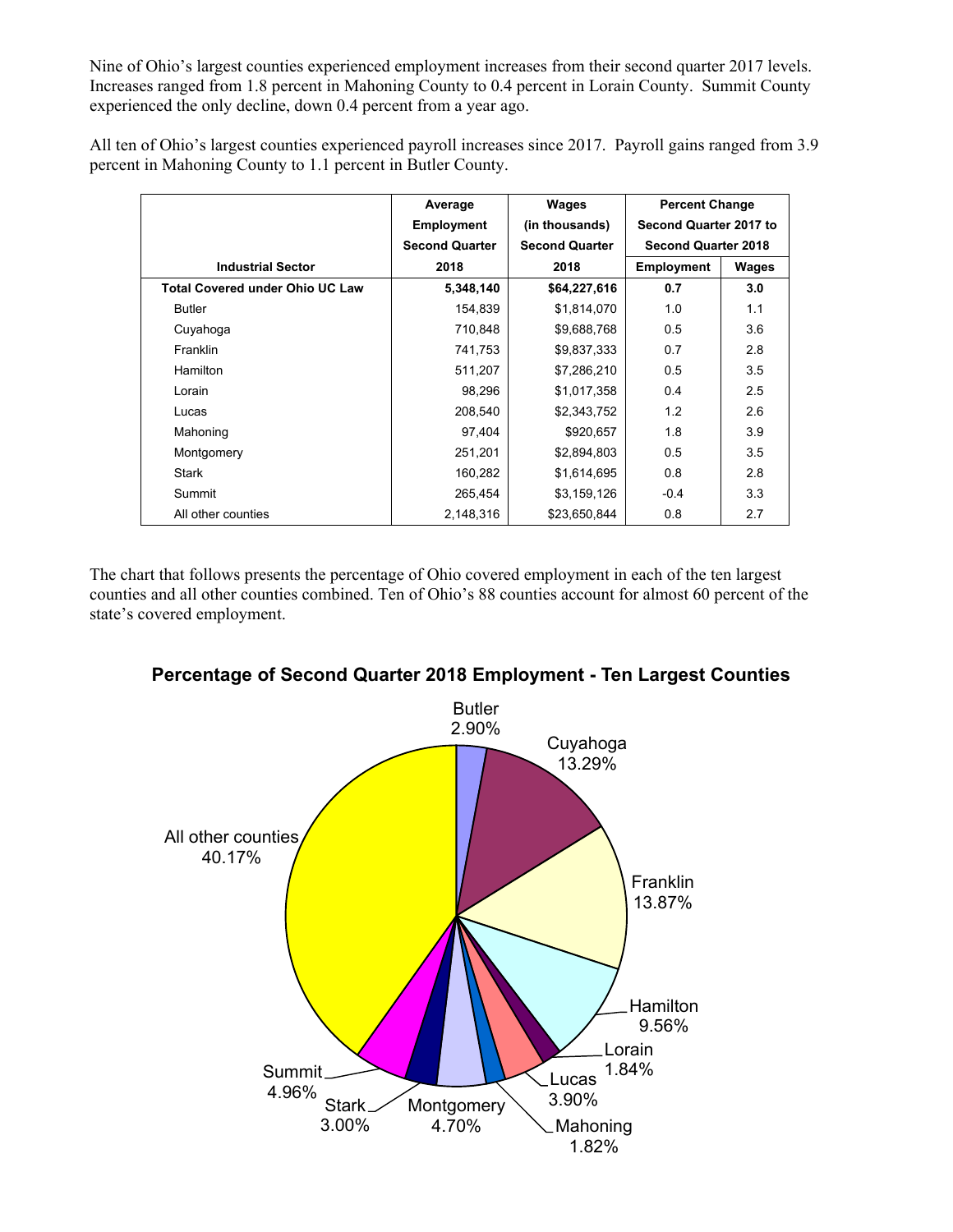Nine of Ohio's largest counties experienced employment increases from their second quarter 2017 levels. Increases ranged from 1.8 percent in Mahoning County to 0.4 percent in Lorain County. Summit County experienced the only decline, down 0.4 percent from a year ago.

All ten of Ohio's largest counties experienced payroll increases since 2017. Payroll gains ranged from 3.9 percent in Mahoning County to 1.1 percent in Butler County.

|                                        | Average               | Wages                 | <b>Percent Change</b>      |       |
|----------------------------------------|-----------------------|-----------------------|----------------------------|-------|
|                                        | <b>Employment</b>     | (in thousands)        | Second Quarter 2017 to     |       |
|                                        | <b>Second Quarter</b> | <b>Second Quarter</b> | <b>Second Quarter 2018</b> |       |
| <b>Industrial Sector</b>               | 2018                  | 2018                  | <b>Employment</b>          | Wages |
| <b>Total Covered under Ohio UC Law</b> | 5,348,140             | \$64,227,616          | 0.7                        | 3.0   |
| <b>Butler</b>                          | 154,839               | \$1,814,070           | 1.0                        | 1.1   |
| Cuyahoga                               | 710,848               | \$9,688,768           | 0.5                        | 3.6   |
| Franklin                               | 741,753               | \$9,837,333           | 0.7                        | 2.8   |
| Hamilton                               | 511,207               | \$7,286,210           | 0.5                        | 3.5   |
| Lorain                                 | 98,296                | \$1,017,358           | 0.4                        | 2.5   |
| Lucas                                  | 208,540               | \$2,343,752           | 1.2                        | 2.6   |
| Mahoning                               | 97,404                | \$920,657             | 1.8                        | 3.9   |
| Montgomery                             | 251,201               | \$2,894,803           | 0.5                        | 3.5   |
| Stark                                  | 160,282               | \$1,614,695           | 0.8                        | 2.8   |
| Summit                                 | 265,454               | \$3,159,126           | $-0.4$                     | 3.3   |
| All other counties                     | 2,148,316             | \$23,650,844          | 0.8                        | 2.7   |

The chart that follows presents the percentage of Ohio covered employment in each of the ten largest counties and all other counties combined. Ten of Ohio's 88 counties account for almost 60 percent of the state's covered employment.



## **Percentage of Second Quarter 2018 Employment - Ten Largest Counties**